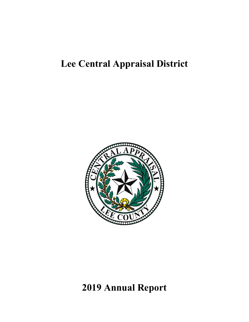# **Lee Central Appraisal District**



# **2019 Annual Report**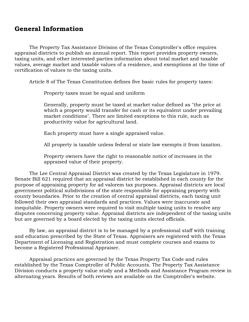## **General Information**

The Property Tax Assistance Division of the Texas Comptroller's office requires appraisal districts to publish an annual report. This report provides property owners, taxing units, and other interested parties information about total market and taxable values, average market and taxable values of a residence, and exemptions at the time of certification of values to the taxing units.

Article 8 of The Texas Constitution defines five basic rules for property taxes:

Property taxes must be equal and uniform

Generally, property must be taxed at market value defined as "the price at which a property would transfer for cash or its equivalent under prevailing market conditions". There are limited exceptions to this rule, such as productivity value for agricultural land.

Each property must have a single appraised value.

All property is taxable unless federal or state law exempts it from taxation.

Property owners have the right to reasonable notice of increases in the appraised value of their property.

The Lee Central Appraisal District was created by the Texas Legislature in 1979. Senate Bill 621 required that an appraisal district be established in each county for the purpose of appraising property for ad valorem tax purposes. Appraisal districts are local government political subdivisions of the state responsible for appraising property with county boundaries. Prior to the creation of central appraisal districts, each taxing unit followed their own appraisal standards and practices. Values were inaccurate and inequitable. Property owners were required to visit multiple taxing units to resolve any disputes concerning property value. Appraisal districts are independent of the taxing units but are governed by a board elected by the taxing units elected officials.

By law, an appraisal district is to be managed by a professional staff with training and education prescribed by the State of Texas. Appraisers are registered with the Texas Department of Licensing and Registration and must complete courses and exams to become a Registered Professional Appraiser.

Appraisal practices are governed by the Texas Property Tax Code and rules established by the Texas Comptroller of Public Accounts. The Property Tax Assistance Division conducts a property value study and a Methods and Assistance Program review in alternating years. Results of both reviews are available on the Comptroller's website.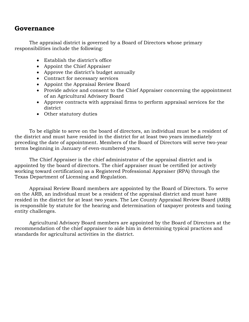## **Governance**

The appraisal district is governed by a Board of Directors whose primary responsibilities include the following:

- Establish the district's office
- Appoint the Chief Appraiser
- Approve the district's budget annually
- Contract for necessary services
- Appoint the Appraisal Review Board
- Provide advice and consent to the Chief Appraiser concerning the appointment of an Agricultural Advisory Board
- Approve contracts with appraisal firms to perform appraisal services for the district
- Other statutory duties

To be eligible to serve on the board of directors, an individual must be a resident of the district and must have resided in the district for at least two years immediately preceding the date of appointment. Members of the Board of Directors will serve two-year terms beginning in January of even-numbered years.

The Chief Appraiser is the chief administrator of the appraisal district and is appointed by the board of directors. The chief appraiser must be certified (or actively working toward certification) as a Registered Professional Appraiser (RPA) through the Texas Department of Licensing and Regulation.

Appraisal Review Board members are appointed by the Board of Directors. To serve on the ARB, an individual must be a resident of the appraisal district and must have resided in the district for at least two years. The Lee County Appraisal Review Board (ARB) is responsible by statute for the hearing and determination of taxpayer protests and taxing entity challenges.

Agricultural Advisory Board members are appointed by the Board of Directors at the recommendation of the chief appraiser to aide him in determining typical practices and standards for agricultural activities in the district.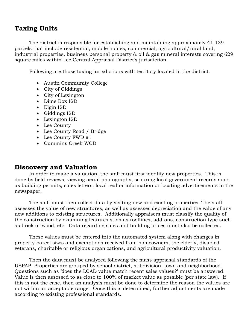## **Taxing Units**

The district is responsible for establishing and maintaining approximately 41,139 parcels that include residential, mobile homes, commercial, agricultural/rural land, industrial properties, business personal property & oil & gas mineral interests covering 629 square miles within Lee Central Appraisal District's jurisdiction.

Following are those taxing jurisdictions with territory located in the district:

- Austin Community College
- City of Giddings
- City of Lexington
- Dime Box ISD
- Elgin ISD
- Giddings ISD
- Lexington ISD
- Lee County
- Lee County Road / Bridge
- Lee County FWD #1
- Cummins Creek WCD

## **Discovery and Valuation**

In order to make a valuation, the staff must first identify new properties. This is done by field reviews, viewing aerial photography, scouring local government records such as building permits, sales letters, local realtor information or locating advertisements in the newspaper.

The staff must then collect data by visiting new and existing properties. The staff assesses the value of new structures, as well as assesses depreciation and the value of any new additions to existing structures. Additionally appraisers must classify the quality of the construction by examining features such as rooflines, add-ons, construction type such as brick or wood, etc. Data regarding sales and building prices must also be collected.

These values must be entered into the automated system along with changes in property parcel sizes and exemptions received from homeowners, the elderly, disabled veterans, charitable or religious organizations, and agricultural productivity valuation.

Then the data must be analyzed following the mass appraisal standards of the USPAP. Properties are grouped by school district, subdivision, town and neighborhood. Questions such as 'does the LCAD value match recent sales values?' must be answered. Value is then assessed to as close to 100% of market value as possible (per state law). If this is not the case, then an analysis must be done to determine the reason the values are not within an acceptable range. Once this is determined, further adjustments are made according to existing professional standards.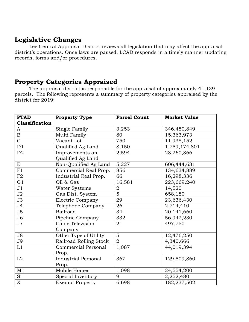# **Legislative Changes**

Lee Central Appraisal District reviews all legislation that may affect the appraisal district's operations. Once laws are passed, LCAD responds in a timely manner updating records, forms and/or procedures.

# **Property Categories Appraised**

The appraisal district is responsible for the appraisal of approximately 41,139 parcels. The following represents a summary of property categories appraised by the district for 2019:

| <b>PTAD</b>    | <b>Property Type</b>       | <b>Parcel Count</b> | <b>Market Value</b> |
|----------------|----------------------------|---------------------|---------------------|
| Classification |                            |                     |                     |
| A              | Single Family              | 3,253               | 346,450,849         |
| $\, {\bf B}$   | Multi Family               | 80                  | 15,363,973          |
| $\mathsf{C}$   | Vacant Lot                 | 750                 | 11,938,152          |
| D1             | Qualified Ag Land          | 8,150               | 1,759,174,801       |
| D2             | Improvements on            | 2,594               | 28,260,366          |
|                | Qualified Ag Land          |                     |                     |
| E              | Non-Qualified Ag Land      | 5,227               | 606,444,631         |
| F1             | Commercial Real Prop.      | 856                 | 134,634,889         |
| F2             | Industrial Real Prop.      | 66                  | 16,298,336          |
| G1             | Oil & Gas                  | 16,581              | 223,669,240         |
| J1             | Water Systems              | $\boldsymbol{2}$    | 14,520              |
| J2             | Gas Dist. System           | $\overline{5}$      | 658,180             |
| J3             | <b>Electric Company</b>    | 29                  | 23,636,430          |
| J <sub>4</sub> | Telephone Company          | 26                  | 2,714,410           |
| J <sub>5</sub> | Railroad                   | 34                  | 20,141,660          |
| J <sub>6</sub> | Pipeline Company           | 332                 | 56,942,230          |
| J7             | Cable Television           | 21                  | 497,750             |
|                | Company                    |                     |                     |
| J8             | Other Type of Utility      | 5                   | 12,476,250          |
| J9             | Railroad Rolling Stock     | $\overline{2}$      | 4,340,666           |
| L1             | Commercial Personal        | 1,087               | 44,019,394          |
|                | Prop.                      |                     |                     |
| L2             | <b>Industrial Personal</b> | 367                 | 129,509,860         |
|                | Prop.                      |                     |                     |
| M <sub>1</sub> | Mobile Homes               | 1,098               | 24,554,200          |
| ${\bf S}$      | Special Inventory          | 9                   | 2,252,480           |
| $\mathbf X$    | <b>Exempt Property</b>     | 6,698               | 182,237,502         |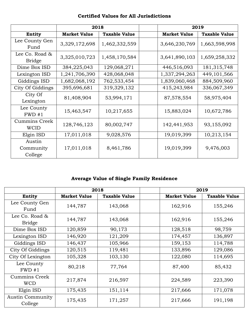|                                 | 2018                |                      |                     | 2019                 |
|---------------------------------|---------------------|----------------------|---------------------|----------------------|
| Entity                          | <b>Market Value</b> | <b>Taxable Value</b> | <b>Market Value</b> | <b>Taxable Value</b> |
| Lee County Gen<br>Fund          | 3,329,172,698       | 1,462,332,559        | 3,646,230,769       | 1,663,598,998        |
| Lee Co. Road &<br><b>Bridge</b> | 3,325,010,723       | 1,458,170,584        | 3,641,890,103       | 1,659,258,332        |
| Dime Box ISD                    | 384,225,043         | 129,068,271          | 446,516,093         | 181, 315, 748        |
| Lexington ISD                   | 1,241,706,390       | 428,068,048          | 1,337,294,263       | 449, 101, 566        |
| Giddings ISD                    | 1,682,068,192       | 762,533,454          | 1,839,060,468       | 884,509,960          |
| City Of Giddings                | 395,696,681         | 319,329,132          | 415,243,984         | 336,067,349          |
| City Of<br>Lexington            | 81,408,904          | 53,994,171           | 87,578,554          | 58,975,404           |
| Lee County<br>FWD#1             | 15,463,547          | 10,217,655           | 15,883,024          | 10,672,786           |
| Cummins Creek<br><b>WCID</b>    | 128,746,123         | 80,002,747           | 142,441,953         | 93,155,092           |
| Elgin ISD                       | 17,011,018          | 9,028,576            | 19,019,399          | 10,213,154           |
| Austin<br>Community<br>College  | 17,011,018          | 8,461,786            | 19,019,399          | 9,476,003            |

### **Certified Values for All Jurisdictions**

# **Average Value of Single Family Residence**

|                                    | 2018                |                      |                     | 2019                 |
|------------------------------------|---------------------|----------------------|---------------------|----------------------|
| Entity                             | <b>Market Value</b> | <b>Taxable Value</b> | <b>Market Value</b> | <b>Taxable Value</b> |
| Lee County Gen<br>Fund             | 144,787             | 143,068              | 162,916             | 155,246              |
| Lee Co. Road $\&$<br><b>Bridge</b> | 144,787             | 143,068              | 162,916             | 155,246              |
| Dime Box ISD                       | 120,859             | 90,173               | 128,518             | 98,759               |
| Lexington ISD                      | 146,920             | 121,209              | 174,457             | 136,897              |
| Giddings ISD                       | 146,437             | 105,966              | 159,153             | 114,788              |
| City Of Giddings                   | 120,515             | 119,481              | 133,896             | 129,086              |
| City Of Lexington                  | 105,328             | 103,130              | 122,080             | 114,695              |
| Lee County<br>FWD#1                | 80,218              | 77,764               | 87,400              | 85,432               |
| Cummins Creek<br><b>WCD</b>        | 217,874             | 216,597              | 224,589             | 223,390              |
| Elgin ISD                          | 175,435             | 151,114              | 217,666             | 171,078              |
| <b>Austin Community</b><br>College | 175,435             | 171,257              | 217,666             | 191,198              |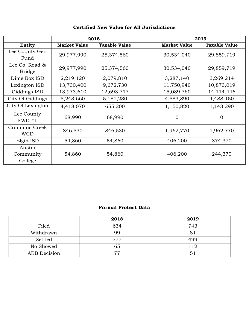|                                    | 2018                |                      |                     | 2019                 |
|------------------------------------|---------------------|----------------------|---------------------|----------------------|
| Entity                             | <b>Market Value</b> | <b>Taxable Value</b> | <b>Market Value</b> | <b>Taxable Value</b> |
| Lee County Gen<br>Fund             | 29,977,990          | 25,374,560           | 30,534,040          | 29,859,719           |
| Lee Co. Road &<br><b>Bridge</b>    | 29,977,990          | 25,374,560           | 30,534,040          | 29,859,719           |
| Dime Box ISD                       | 2,219,120           | 2,079,810            | 3,287,140           | 3,269,214            |
| Lexington ISD                      | 13,730,400          | 9,672,730            | 11,750,940          | 10,873,019           |
| Giddings ISD                       | 13,973,610          | 12,693,717           | 15,089,760          | 14, 114, 446         |
| City Of Giddings                   | 5,243,660           | 5, 181, 230          | 4,583,890           | 4,488,150            |
| City Of Lexington                  | 4,418,070           | 655,200              | 1,150,820           | 1,143,290            |
| Lee County<br>FWD#1                | 68,990              | 68,990               | $\overline{0}$      | $\Omega$             |
| <b>Cummins Creek</b><br><b>WCD</b> | 846,530             | 846,530              | 1,962,770           | 1,962,770            |
| Elgin ISD                          | 54,860              | 54,860               | 406,200             | 374,370              |
| Austin<br>Community<br>College     | 54,860              | 54,860               | 406,200             | 244,370              |

## **Certified New Value for All Jurisdictions**

#### **Formal Protest Data**

|                     | 2018 | 2019 |
|---------------------|------|------|
| Filed               | 634  | 743  |
| Withdrawn           | 99   | 8.   |
| Settled             | 377  | 499  |
| No Showed           | 65   | 112  |
| <b>ARB</b> Decision | 77   |      |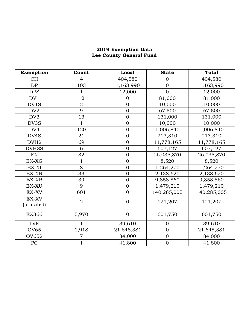#### **2019 Exemption Data Lee County General Fund**

| <b>Exemption</b>    | Count          | <b>Local</b>     | <b>State</b>   | <b>Total</b> |
|---------------------|----------------|------------------|----------------|--------------|
| <b>CH</b>           | 4              | 404,580          | $\overline{0}$ | 404,580      |
| DP                  | 103            | 1,163,990        | $\overline{0}$ | 1,163,990    |
| <b>DPS</b>          | 1              | 12,000           | $\overline{0}$ | 12,000       |
| DV1                 | 12             | $\overline{0}$   | 81,000         | 81,000       |
| DV1S                | $\sqrt{2}$     | $\overline{0}$   | 10,000         | 10,000       |
| DV <sub>2</sub>     | 9              | $\mathbf{0}$     | 67,500         | 67,500       |
| DV3                 | 13             | $\overline{0}$   | 131,000        | 131,000      |
| DV3S                | $\overline{1}$ | $\overline{0}$   | 10,000         | 10,000       |
| DV4                 | 120            | $\mathbf{0}$     | 1,006,840      | 1,006,840    |
| DV4S                | 21             | $\overline{0}$   | 213,310        | 213,310      |
| <b>DVHS</b>         | 69             | $\overline{0}$   | 11,778,165     | 11,778,165   |
| <b>DVHSS</b>        | 6              | $\mathbf{0}$     | 607,127        | 607,127      |
| <b>EX</b>           | 32             | $\overline{0}$   | 26,035,870     | 26,035,870   |
| EX-XG               | $\mathbf{1}$   | $\overline{0}$   | 8,520          | 8,520        |
| EX-XI               | 8              | $\mathbf{0}$     | 1,264,270      | 1,264,270    |
| EX-XN               | 33             | $\overline{0}$   | 2,138,620      | 2,138,620    |
| EX-XR               | 39             | $\overline{0}$   | 9,858,860      | 9,858,860    |
| EX-XU               | 9              | $\overline{0}$   | 1,479,210      | 1,479,210    |
| EX-XV               | 601            | $\overline{0}$   | 140,285,005    | 140,285,005  |
| EX-XV<br>(prorated) | $\overline{2}$ | $\overline{0}$   | 121,207        | 121,207      |
| <b>EX366</b>        | 5,970          | $\boldsymbol{0}$ | 601,750        | 601,750      |
| <b>LVE</b>          | 1              | 39,610           | $\Omega$       | 39,610       |
| <b>OV65</b>         | 1,918          | 21,648,381       | $\overline{0}$ | 21,648,381   |
| <b>OV65S</b>        | $\overline{7}$ | 84,000           | $\mathbf{0}$   | 84,000       |
| PC                  | 1              | 41,800           | $\mathbf 0$    | 41,800       |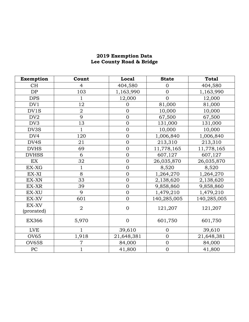#### **2019 Exemption Data Lee County Road & Bridge**

| Exemption           | Count          | Local          | <b>State</b>   | <b>Total</b> |
|---------------------|----------------|----------------|----------------|--------------|
| <b>CH</b>           | $\overline{4}$ | 404,580        | $\Omega$       | 404,580      |
| DP                  | 103            | 1,163,990      | $\overline{0}$ | 1,163,990    |
| <b>DPS</b>          | $\mathbf 1$    | 12,000         | $\overline{0}$ | 12,000       |
| DV1                 | 12             | $\overline{0}$ | 81,000         | 81,000       |
| DV1S                | $\overline{2}$ | $\mathbf{0}$   | 10,000         | 10,000       |
| DV <sub>2</sub>     | 9              | $\overline{0}$ | 67,500         | 67,500       |
| DV3                 | 13             | $\mathbf{0}$   | 131,000        | 131,000      |
| DV3S                | $\mathbf{1}$   | $\overline{0}$ | 10,000         | 10,000       |
| DV4                 | 120            | $\mathbf{0}$   | 1,006,840      | 1,006,840    |
| DV4S                | 21             | $\mathbf{0}$   | 213,310        | 213,310      |
| <b>DVHS</b>         | 69             | $\overline{0}$ | 11,778,165     | 11,778,165   |
| <b>DVHSS</b>        | 6              | $\overline{0}$ | 607,127        | 607,127      |
| <b>EX</b>           | 32             | $\mathbf{0}$   | 26,035,870     | 26,035,870   |
| EX-XG               | 1              | $\mathbf{0}$   | 8,520          | 8,520        |
| EX-XI               | 8              | $\overline{0}$ | 1,264,270      | 1,264,270    |
| EX-XN               | 33             | $\overline{0}$ | 2,138,620      | 2,138,620    |
| EX-XR               | 39             | $\overline{0}$ | 9,858,860      | 9,858,860    |
| EX-XU               | 9              | $\overline{0}$ | 1,479,210      | 1,479,210    |
| EX-XV               | 601            | $\overline{0}$ | 140,285,005    | 140,285,005  |
| EX-XV<br>(prorated) | $\overline{2}$ | $\mathbf{0}$   | 121,207        | 121,207      |
| <b>EX366</b>        | 5,970          | $\mathbf{0}$   | 601,750        | 601,750      |
| <b>LVE</b>          |                | 39,610         | $\overline{0}$ | 39,610       |
| <b>OV65</b>         | 1,918          | 21,648,381     | $\overline{0}$ | 21,648,381   |
| <b>OV65S</b>        | $\overline{7}$ | 84,000         | $\mathbf{0}$   | 84,000       |
| PC                  | $\mathbf{1}$   | 41,800         | $\mathbf 0$    | 41,800       |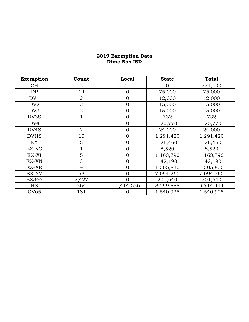#### **2019 Exemption Data Dime Box ISD**

| Exemption       | Count          | Local          | <b>State</b> | <b>Total</b> |
|-----------------|----------------|----------------|--------------|--------------|
| СH              | $\overline{2}$ | 224,100        | 0            | 224,100      |
| DP              | 14             | 0              | 75,000       | 75,000       |
| DV1             | $\overline{2}$ | $\overline{0}$ | 12,000       | 12,000       |
| DV <sub>2</sub> | $\overline{2}$ | $\overline{0}$ | 15,000       | 15,000       |
| DV3             | $\overline{2}$ | $\mathbf{0}$   | 15,000       | 15,000       |
| DV3S            |                | $\overline{0}$ | 732          | 732          |
| DV <sub>4</sub> | 15             | $\mathbf{0}$   | 120,770      | 120,770      |
| DV4S            | $\overline{2}$ | $\overline{0}$ | 24,000       | 24,000       |
| <b>DVHS</b>     | 10             | $\mathbf{0}$   | 1,291,420    | 1,291,420    |
| EX              | 5              | $\mathbf{0}$   | 126,460      | 126,460      |
| EX-XG           |                | $\overline{0}$ | 8,520        | 8,520        |
| EX-XI           | 5              | $\overline{0}$ | 1,163,790    | 1,163,790    |
| EX-XN           | 3              | $\mathbf{0}$   | 142,190      | 142,190      |
| EX-XR           | $\overline{4}$ | $\mathbf{0}$   | 1,305,830    | 1,305,830    |
| EX-XV           | 63             | $\overline{0}$ | 7,094,260    | 7,094,260    |
| <b>EX366</b>    | 2,427          | 0              | 201,640      | 201,640      |
| <b>HS</b>       | 364            | 1,414,526      | 8,299,888    | 9,714,414    |
| OV65            | 181            | O              | 1,540,925    | 1,540,925    |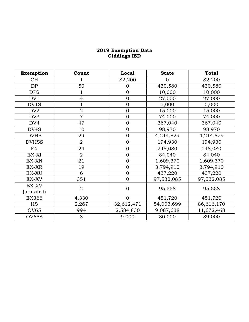#### **2019 Exemption Data Giddings ISD**

| Exemption           | Count          | Local          | <b>State</b> | <b>Total</b> |
|---------------------|----------------|----------------|--------------|--------------|
| <b>CH</b>           |                | 82,200         | $\Omega$     | 82,200       |
| DP                  | 50             | $\overline{0}$ | 430,580      | 430,580      |
| <b>DPS</b>          |                | $\mathbf{0}$   | 10,000       | 10,000       |
| DV1                 | $\overline{4}$ | $\overline{0}$ | 27,000       | 27,000       |
| DV1S                |                | $\overline{0}$ | 5,000        | 5,000        |
| DV <sub>2</sub>     | $\overline{2}$ | $\overline{0}$ | 15,000       | 15,000       |
| DV <sub>3</sub>     | $\overline{7}$ | $\overline{0}$ | 74,000       | 74,000       |
| DV4                 | 47             | $\overline{0}$ | 367,040      | 367,040      |
| DV <sub>4</sub> S   | 10             | $\mathbf{0}$   | 98,970       | 98,970       |
| <b>DVHS</b>         | 29             | $\overline{0}$ | 4,214,829    | 4,214,829    |
| <b>DVHSS</b>        | $\overline{2}$ | $\overline{0}$ | 194,930      | 194,930      |
| EX                  | 24             | $\overline{0}$ | 248,080      | 248,080      |
| EX-XI               | $\overline{2}$ | $\overline{0}$ | 84,040       | 84,040       |
| EX-XN               | 21             | $\overline{0}$ | 1,609,370    | 1,609,370    |
| EX-XR               | 19             | $\overline{0}$ | 3,794,910    | 3,794,910    |
| EX-XU               | 6              | $\overline{0}$ | 437,220      | 437,220      |
| EX-XV               | 351            | $\overline{0}$ | 97,532,085   | 97,532,085   |
| EX-XV<br>(prorated) | $\overline{2}$ | $\overline{0}$ | 95,558       | 95,558       |
| <b>EX366</b>        | 4,330          | $\overline{0}$ | 451,720      | 451,720      |
| <b>HS</b>           | 2,267          | 32,612,471     | 54,003,699   | 86,616,170   |
| <b>OV65</b>         | 994            | 2,584,830      | 9,087,638    | 11,672,468   |
| <b>OV65S</b>        | 3              | 9,000          | 30,000       | 39,000       |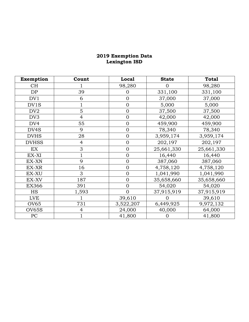#### **2019 Exemption Data Lexington ISD**

| <b>Exemption</b> | Count          | <b>Local</b>   | <b>State</b> | <b>Total</b> |
|------------------|----------------|----------------|--------------|--------------|
| <b>CH</b>        |                | 98,280         | $\Omega$     | 98,280       |
| DP               | 39             | $\overline{0}$ | 331,100      | 331,100      |
| DV1              | 6              | $\mathbf 0$    | 37,000       | 37,000       |
| DV1S             |                | $\overline{0}$ | 5,000        | 5,000        |
| DV <sub>2</sub>  | 5              | $\mathbf{0}$   | 37,500       | 37,500       |
| DV <sub>3</sub>  | $\overline{4}$ | $\mathbf{0}$   | 42,000       | 42,000       |
| DV <sub>4</sub>  | 55             | $\mathbf{0}$   | 459,900      | 459,900      |
| DV4S             | 9              | $\overline{0}$ | 78,340       | 78,340       |
| <b>DVHS</b>      | 28             | $\mathbf{0}$   | 3,959,174    | 3,959,174    |
| <b>DVHSS</b>     | $\overline{4}$ | $\mathbf{0}$   | 202,197      | 202,197      |
| EX               | 3              | $\overline{0}$ | 25,661,330   | 25,661,330   |
| EX-XI            |                | $\overline{0}$ | 16,440       | 16,440       |
| EX-XN            | 9              | $\overline{0}$ | 387,060      | 387,060      |
| EX-XR            | 16             | $\mathbf{0}$   | 4,758,120    | 4,758,120    |
| EX-XU            | 3              | $\overline{0}$ | 1,041,990    | 1,041,990    |
| EX-XV            | 187            | $\overline{0}$ | 35,658,660   | 35,658,660   |
| <b>EX366</b>     | 391            | $\overline{0}$ | 54,020       | 54,020       |
| <b>HS</b>        | 1,593          | $\overline{0}$ | 37,915,919   | 37,915,919   |
| LVE              |                | 39,610         |              | 39,610       |
| <b>OV65</b>      | 731            | 3,522,207      | 6,449,925    | 9,972,132    |
| OV65S            | 4              | 24,000         | 40,000       | 64,000       |
| PC               |                | 41,800         |              | 41,800       |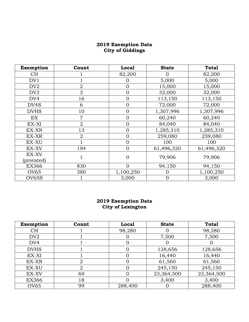#### **2019 Exemption Data City of Giddings**

| Exemption         | Count          | Local          | <b>State</b>   | <b>Total</b> |
|-------------------|----------------|----------------|----------------|--------------|
| CH <sub></sub>    |                | 82,200         |                | 82,200       |
| DV1               |                | O              | 5,000          | 5,000        |
| DV <sub>2</sub>   | $\overline{2}$ | $\overline{0}$ | 15,000         | 15,000       |
| DV <sub>3</sub>   | 3              | $\overline{0}$ | 32,000         | 32,000       |
| DV <sub>4</sub>   | 16             | $\overline{0}$ | 113,150        | 113,150      |
| DV <sub>4</sub> S | 6              | $\overline{0}$ | 72,000         | 72,000       |
| <b>DVHS</b>       | 10             | $\overline{0}$ | 1,307,996      | 1,307,996    |
| EX                | $\overline{7}$ | $\overline{0}$ | 60,240         | 60,240       |
| EX-XI             | $\overline{2}$ | $\overline{0}$ | 84,040         | 84,040       |
| EX-XN             | 13             | $\overline{0}$ | 1,285,310      | 1,285,310    |
| EX-XR             | $\overline{2}$ | $\overline{0}$ | 259,080        | 259,080      |
| EX-XU             |                | $\overline{0}$ | 100            | 100          |
| EX-XV             | 194            | $\overline{0}$ | 61,496,320     | 61,496,320   |
| EX-XV             |                | $\overline{0}$ | 79,906         | 79,906       |
| (prorated)        |                |                |                |              |
| <b>EX366</b>      | 830            | $\Omega$       | 94,150         | 94,150       |
| OV65              | 380            | 1,100,250      | 0              | 1,100,250    |
| OV65S             |                | 3,000          | $\overline{0}$ | 3,000        |

#### **2019 Exemption Data City of Lexington**

| Exemption        | Count | Local   | <b>State</b> | <b>Total</b> |
|------------------|-------|---------|--------------|--------------|
| <b>CH</b>        |       | 98,280  |              | 98,280       |
| DV <sub>2</sub>  |       |         | 7,500        | 7,500        |
| DV <sub>4</sub>  |       |         |              |              |
| <b>DVHS</b>      |       |         | 128,656      | 128,656      |
| EX-XI            |       |         | 16,440       | 16,440       |
| EX-XN            | 2     |         | 61,560       | 61,560       |
| EX-XU            | 2     |         | 245,150      | 245,150      |
| EX-XV            | 69    |         | 23,364,500   | 23,364,500   |
| EX366            | 18    |         | 3,400        | 3,400        |
| OV <sub>65</sub> | 99    | 288,400 |              | 288,400      |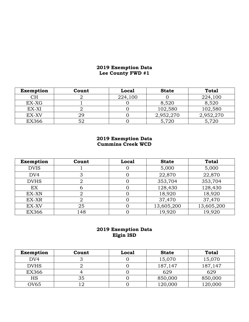### **2019 Exemption Data Lee County FWD #1**

| <b>Exemption</b> | Count | <b>Local</b> | <b>State</b> | <b>Total</b> |
|------------------|-------|--------------|--------------|--------------|
| CН               |       | 224,100      |              | 224,100      |
| EX-XG            |       |              | 8,520        | 8,520        |
| EX-XI            |       |              | 102,580      | 102,580      |
| EX-XV            | 29    |              | 2,952,270    | 2,952,270    |
| <b>EX366</b>     | 52    |              | 5,720        | 5,720        |

#### **2019 Exemption Data Cummins Creek WCD**

| Exemption       | Count | Local | <b>State</b> | <b>Total</b> |
|-----------------|-------|-------|--------------|--------------|
| <b>DVIS</b>     |       |       | 5,000        | 5,000        |
| DV <sub>4</sub> | З     |       | 22,870       | 22,870       |
| <b>DVHS</b>     |       |       | 353,704      | 353,704      |
| EX              | 6     |       | 128,430      | 128,430      |
| EX-XN           |       |       | 18,920       | 18,920       |
| EX-XR           |       |       | 37,470       | 37,470       |
| EX-XV           | 25    |       | 13,605,200   | 13,605,200   |
| <b>EX366</b>    | 148   |       | 19,920       | 19,920       |

## **2019 Exemption Data Elgin ISD**

| <b>Exemption</b> | Count | <b>Local</b> | <b>State</b> | <b>Total</b> |
|------------------|-------|--------------|--------------|--------------|
| DV <sub>4</sub>  |       |              | 15,070       | 15,070       |
| <b>DVHS</b>      |       |              | 187,147      | 187,147      |
| EX366            |       |              | 629          | 629          |
| HS               | 35    |              | 850,000      | 850,000      |
| OV <sub>65</sub> |       |              | 120,000      | 120,000      |